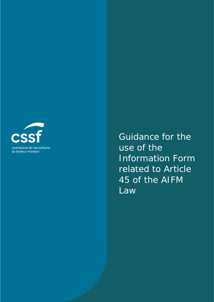

Guidance for the use of the Information Form related to Article 45 of the AIFM Law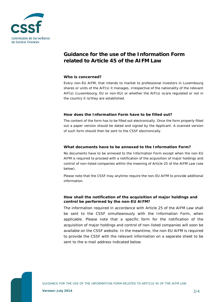

# **Guidance for the use of the Information Form related to Article 45 of the AIFM Law**

#### **Who is concerned?**

Every non-EU AIFM, that intends to market to professional investors in Luxembourg shares or units of the AIF(s) it manages, irrespective of the nationality of the relevant AIF(s) (Luxembourg, EU or non-EU) or whether the AIF(s) is/are regulated or not in the country it is/they are established.

### **How does the Information Form have to be filled out?**

The content of the form has to be filled out electronically. Once the form properly filled out a paper version should be dated and signed by the Applicant. A scanned version of such form should then be sent to the CSSF electronically.

### **What documents have to be annexed to the Information Form?**

No documents have to be annexed to the Information Form except when the non-EU AIFM is required to proceed with a notification of the acquisition of major holdings and control of non-listed companies within the meaning of Article 25 of the AIFM Law (see below).

Please note that the CSSF may anytime require the non-EU AIFM to provide additional information.

### **How shall the notification of the acquisition of major holdings and control be performed by the non-EU AIFM?**

The information required in accordance with Article 25 of the AIFM Law shall be sent to the CSSF simulteanously with the Information Form, when applicable. Please note that a specific form for the notification of the acquisition of major holdings and control of non-listed companies will soon be available on the CSSF website. In the meantime, the non-EU AIFM is required to provide the CSSF with the relevant information on a separate sheet to be sent to the e-mail address indicated below.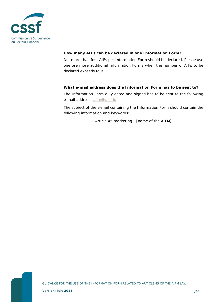

# **How many AIFs can be declared in one Information Form?**

Not more than four AIFs per Information Form should be declared. Please use one ore more additional Information Forms when the number of AIFs to be declared exceeds four.

# **What e-mail address does the Information Form has to be sent to?**

The Information Form duly dated and signed has to be sent to the following e-mail address: [aifm@cssf.lu](mailto:aifm@cssf.lu)

The subject of the e-mail containing the Information Form should contain the following information and keywords:

Article 45 marketing - [name of the AIFM]